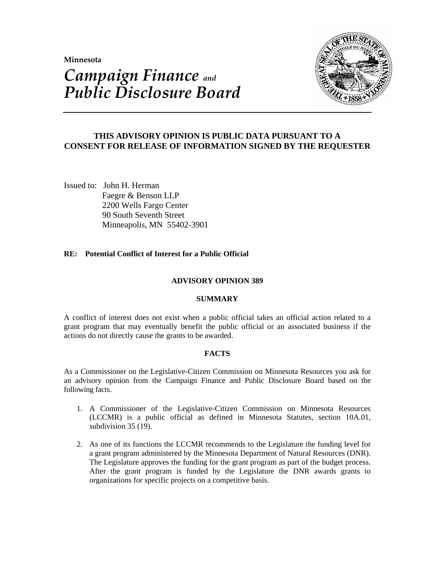**Minnesota** 

# *Campaign Finance and Public Disclosure Board*



## **THIS ADVISORY OPINION IS PUBLIC DATA PURSUANT TO A CONSENT FOR RELEASE OF INFORMATION SIGNED BY THE REQUESTER**

Issued to: John H. Herman Faegre & Benson LLP 2200 Wells Fargo Center 90 South Seventh Street Minneapolis, MN 55402-3901

## **RE: Potential Conflict of Interest for a Public Official**

## **ADVISORY OPINION 389**

### **SUMMARY**

A conflict of interest does not exist when a public official takes an official action related to a grant program that may eventually benefit the public official or an associated business if the actions do not directly cause the grants to be awarded.

## **FACTS**

As a Commissioner on the Legislative-Citizen Commission on Minnesota Resources you ask for an advisory opinion from the Campaign Finance and Public Disclosure Board based on the following facts.

- 1. A Commissioner of the Legislative-Citizen Commission on Minnesota Resources (LCCMR) is a public official as defined in Minnesota Statutes, section 10A.01, subdivision 35 (19).
- 2. As one of its functions the LCCMR recommends to the Legislature the funding level for a grant program administered by the Minnesota Department of Natural Resources (DNR). The Legislature approves the funding for the grant program as part of the budget process. After the grant program is funded by the Legislature the DNR awards grants to organizations for specific projects on a competitive basis.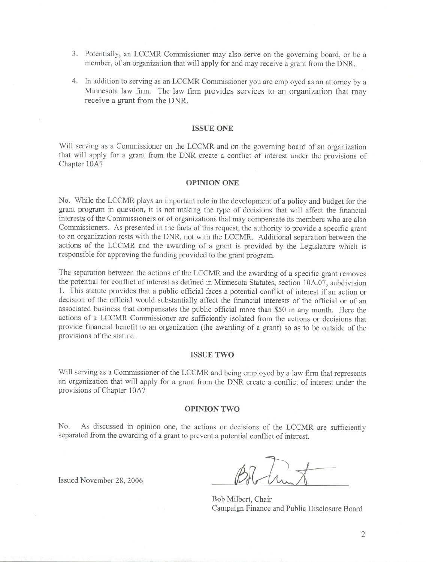- 3. Potentially, an LCCMR Commissioner may also serve on the governing board, or be a member, of an organization that will apply for and may receive a grant from the DNR.
- 4. In addition to serving as an LCCMR Commissioner you are employed as an attorney by a Minnesota law firm. The law firm provides services to an organization that may receive a grant from the DNR.

#### ISSUE ONE

Will serving as a Commissioner on the LCCMR and on the governing board of an organization that will apply for a grant from the DNR create a conflict of interest under the provisions of Chapter 10A?

#### OPINION ONE

No. While the LCCMR plays an important role in the development of a policy and budget for the grant program in question, it is not making the type of decisions that will affect the financial interests of the Commissioners or of organizations that may compensate its members who are also Commissioners. As presented in the facts of this request, the authority to provide a specific grant to an organization rests with the DNR, not with the LCCMR. Additional separation between the actions of the LCCMR and the awarding of a grant is provided by the Legislature which is responsible for approving the funding provided to the grant program.

The separation between the actions of the LCCMR and the awarding of a specific grant removes the potential for conflict of interest as defined in Minnesota Statutes, section 10A.07, subdivision 1. This statute provides that a public official faces a potential conflict of interest if an action or decision of the official would substantially affect the financial interests of the official or of an associated business that compensates the public official more than \$50 in any month. Here the actions of a LCCMR Commissioner are sufficiently isolated from the actions or decisions that provide financial benefit to an organization (the awarding of a grant) so as to be outside of the provisions of the statute.

#### ISSUE TWO

Will serving as a Commissioner of the LCCMR and being employed by a law firm that represents an organization that will apply for a grant from the DNR create a conflict of interest under the provisions of Chapter 10A?

#### OPINION TWO

No. As discussed in opinion one, the actions or decisions of the LCCMR are sufficiently separated from the awarding of a grant to prevent a potential conflict of interest.

Issued November 28, 2006

Bob Milbert, Chair Campaign Finance and Public Disclosure Board